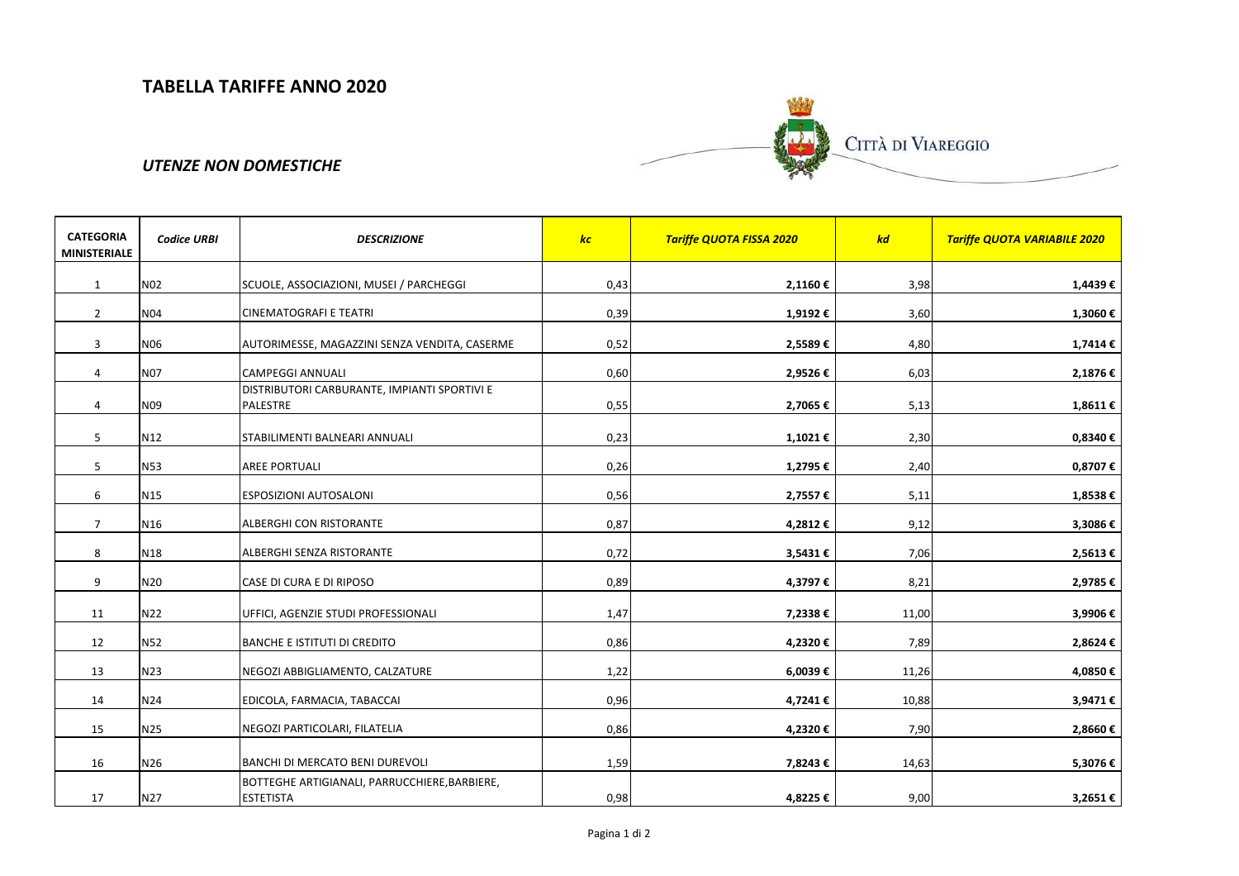

## *UTENZE NON DOMESTICHE*

| <b>CATEGORIA</b><br><b>MINISTERIALE</b> | <b>Codice URBI</b> | <b>DESCRIZIONE</b>                                                | kc   | <b>Tariffe QUOTA FISSA 2020</b> | kd    | <b>Tariffe QUOTA VARIABILE 2020</b> |
|-----------------------------------------|--------------------|-------------------------------------------------------------------|------|---------------------------------|-------|-------------------------------------|
| $\mathbf{1}$                            | N <sub>02</sub>    | SCUOLE, ASSOCIAZIONI, MUSEI / PARCHEGGI                           | 0,43 | 2,1160€                         | 3,98  | 1,4439€                             |
| $\overline{2}$                          | <b>N04</b>         | <b>CINEMATOGRAFI E TEATRI</b>                                     | 0,39 | 1,9192€                         | 3,60  | 1,3060€                             |
| 3                                       | N06                | AUTORIMESSE, MAGAZZINI SENZA VENDITA, CASERME                     | 0,52 | 2,5589€                         | 4,80  | 1,7414€                             |
| $\overline{4}$                          | <b>N07</b>         | <b>CAMPEGGI ANNUALI</b>                                           | 0,60 | 2,9526€                         | 6,03  | 2,1876€                             |
| $\overline{4}$                          | N09                | DISTRIBUTORI CARBURANTE, IMPIANTI SPORTIVI E<br>PALESTRE          | 0,55 | 2,7065€                         | 5,13  | 1,8611€                             |
| 5                                       | N12                | STABILIMENTI BALNEARI ANNUALI                                     | 0,23 | 1,1021€                         | 2,30  | 0,8340€                             |
| 5                                       | N53                | <b>AREE PORTUALI</b>                                              | 0,26 | 1,2795€                         | 2,40  | 0,8707€                             |
| 6                                       | N <sub>15</sub>    | <b>ESPOSIZIONI AUTOSALONI</b>                                     | 0,56 | 2,7557€                         | 5,11  | 1,8538€                             |
| $\overline{7}$                          | N <sub>16</sub>    | ALBERGHI CON RISTORANTE                                           | 0,87 | 4,2812€                         | 9,12  | 3,3086€                             |
| 8                                       | N18                | ALBERGHI SENZA RISTORANTE                                         | 0,72 | 3,5431€                         | 7,06  | 2,5613€                             |
| 9                                       | N20                | CASE DI CURA E DI RIPOSO                                          | 0,89 | 4,3797€                         | 8,21  | 2,9785€                             |
| 11                                      | N22                | UFFICI, AGENZIE STUDI PROFESSIONALI                               | 1,47 | 7,2338€                         | 11,00 | 3,9906€                             |
| 12                                      | <b>N52</b>         | <b>BANCHE E ISTITUTI DI CREDITO</b>                               | 0,86 | 4,2320€                         | 7,89  | 2,8624€                             |
| 13                                      | N23                | NEGOZI ABBIGLIAMENTO, CALZATURE                                   | 1,22 | 6,0039€                         | 11,26 | 4,0850€                             |
| 14                                      | N24                | EDICOLA, FARMACIA, TABACCAI                                       | 0,96 | 4,7241€                         | 10,88 | 3,9471€                             |
| 15                                      | N25                | NEGOZI PARTICOLARI, FILATELIA                                     | 0,86 | 4,2320€                         | 7,90  | 2,8660€                             |
| 16                                      | N26                | BANCHI DI MERCATO BENI DUREVOLI                                   | 1,59 | 7,8243€                         | 14,63 | 5,3076€                             |
| 17                                      | N27                | BOTTEGHE ARTIGIANALI, PARRUCCHIERE, BARBIERE,<br><b>ESTETISTA</b> | 0,98 | 4,8225€                         | 9,00  | 3,2651€                             |